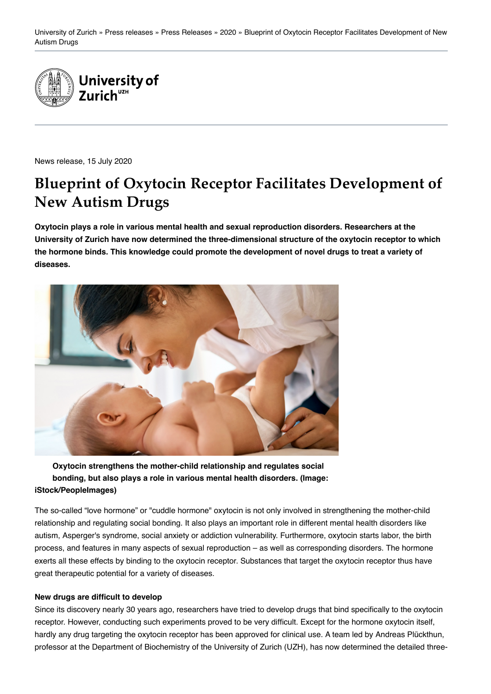

News release, 15 July 2020

# **Blueprint of Oxytocin Receptor Facilitates Development of New Autism Drugs**

**Oxytocin plays a role in various mental health and sexual reproduction disorders. Researchers at the University of Zurich have now determined the three-dimensional structure of the oxytocin receptor to which the hormone binds. This knowledge could promote the development of novel drugs to treat a variety of diseases.**



**Oxytocin strengthens the mother-child relationship and regulates social bonding, but also plays a role in various mental health disorders. (Image: iStock/PeopleImages)**

The so-called "love hormone" or "cuddle hormone" oxytocin is not only involved in strengthening the mother-child relationship and regulating social bonding. It also plays an important role in different mental health disorders like autism, Asperger's syndrome, social anxiety or addiction vulnerability. Furthermore, oxytocin starts labor, the birth process, and features in many aspects of sexual reproduction – as well as corresponding disorders. The hormone exerts all these effects by binding to the oxytocin receptor. Substances that target the oxytocin receptor thus have great therapeutic potential for a variety of diseases.

### **New drugs are difficult to develop**

Since its discovery nearly 30 years ago, researchers have tried to develop drugs that bind specifically to the oxytocin receptor. However, conducting such experiments proved to be very difficult. Except for the hormone oxytocin itself, hardly any drug targeting the oxytocin receptor has been approved for clinical use. A team led by Andreas Plückthun, professor at the Department of Biochemistry of the University of Zurich (UZH), has now determined the detailed three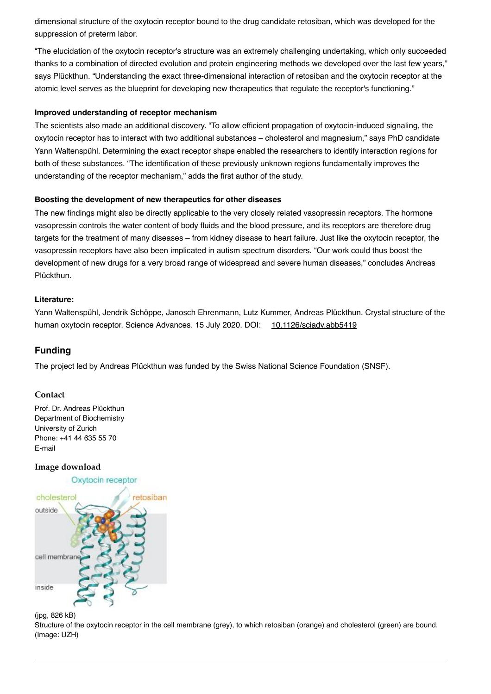dimensional structure of the oxytocin receptor bound to the drug candidate retosiban, which was developed for the suppression of preterm labor.

"The elucidation of the oxytocin receptor's structure was an extremely challenging undertaking, which only succeeded thanks to a combination of directed evolution and protein engineering methods we developed over the last few years," says Plückthun. "Understanding the exact three-dimensional interaction of retosiban and the oxytocin receptor at the atomic level serves as the blueprint for developing new therapeutics that regulate the receptor's functioning."

#### **Improved understanding of receptor mechanism**

The scientists also made an additional discovery. "To allow efficient propagation of oxytocin-induced signaling, the oxytocin receptor has to interact with two additional substances – cholesterol and magnesium," says PhD candidate Yann Waltenspühl. Determining the exact receptor shape enabled the researchers to identify interaction regions for both of these substances. "The identification of these previously unknown regions fundamentally improves the understanding of the receptor mechanism," adds the first author of the study.

#### **Boosting the development of new therapeutics for other diseases**

The new findings might also be directly applicable to the very closely related vasopressin receptors. The hormone vasopressin controls the water content of body fluids and the blood pressure, and its receptors are therefore drug targets for the treatment of many diseases – from kidney disease to heart failure. Just like the oxytocin receptor, the vasopressin receptors have also been implicated in autism spectrum disorders. "Our work could thus boost the development of new drugs for a very broad range of widespread and severe human diseases," concludes Andreas Plückthun.

#### **Literature:**

Yann Waltenspühl, Jendrik Schöppe, Janosch Ehrenmann, Lutz Kummer, Andreas Plückthun. Crystal structure of the human oxytocin receptor. Science Advances. 15 July 2020. DOI: [10.1126/sciadv.abb5419](https://doi.org/10.1126/sciadv.abb5419)

## **Funding**

The project led by Andreas Plückthun was funded by the Swiss National Science Foundation (SNSF).

#### **Contact**

Prof. Dr. Andreas Plückthun Department of Biochemistry University of Zurich Phone: +41 44 635 55 70 [E-mail](mailto:plueckthun@bioc.uzh.ch)

### **Image download**

Oxytocin receptor



#### (jpg, 826 kB)

Structure of the oxytocin receptor in the cell membrane (grey), to which retosiban (orange) and cholesterol (green) are bound. (Image: UZH)